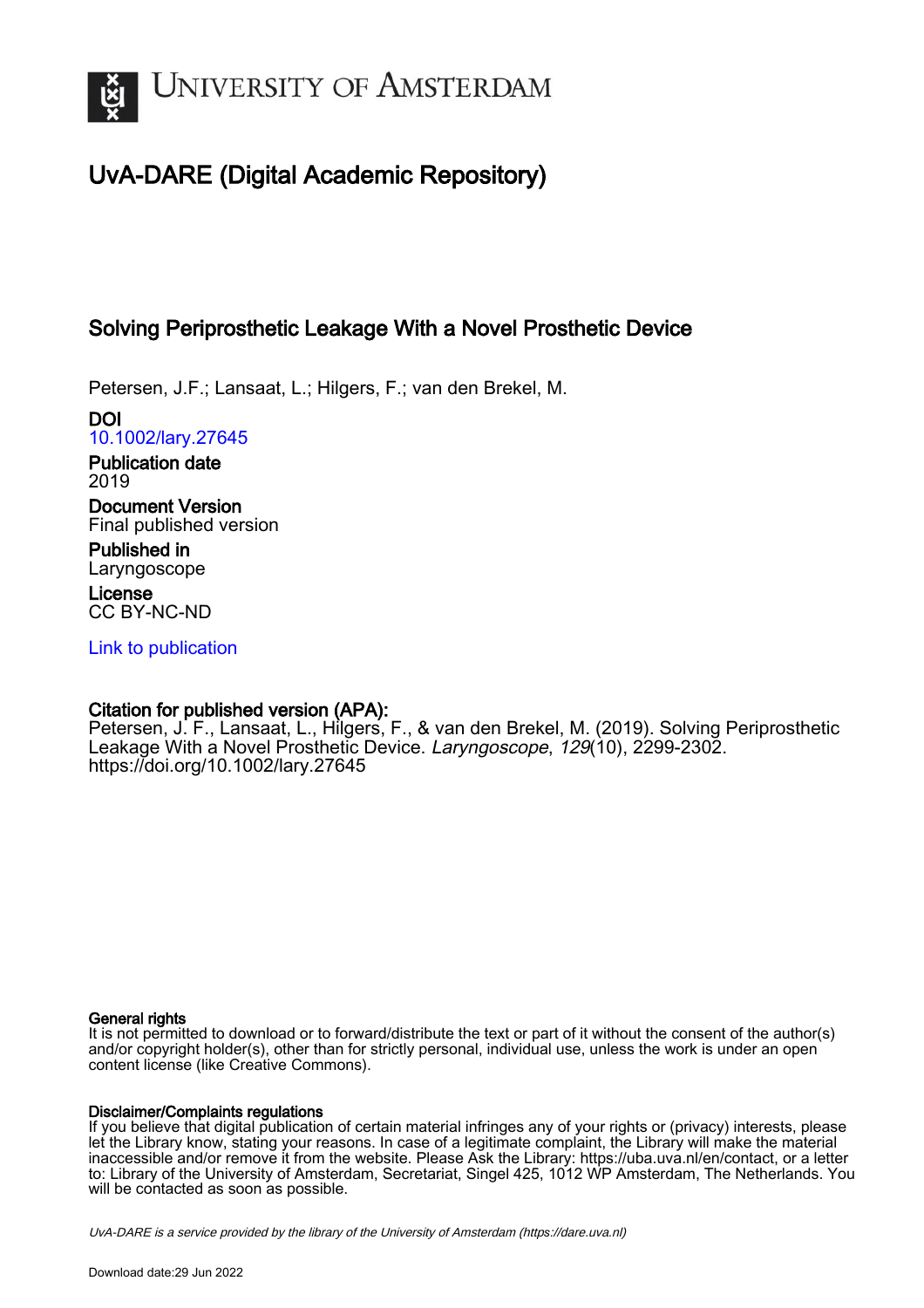

# UvA-DARE (Digital Academic Repository)

## Solving Periprosthetic Leakage With a Novel Prosthetic Device

Petersen, J.F.; Lansaat, L.; Hilgers, F.; van den Brekel, M.

DOI [10.1002/lary.27645](https://doi.org/10.1002/lary.27645)

Publication date 2019

Document Version Final published version

Published in Laryngoscope

License CC BY-NC-ND

[Link to publication](https://dare.uva.nl/personal/pure/en/publications/solving-periprosthetic-leakage-with-a-novel-prosthetic-device(1b964e7a-738e-478b-8f56-5d95eb8f1b65).html)

## Citation for published version (APA):

Petersen, J. F., Lansaat, L., Hilgers, F., & van den Brekel, M. (2019). Solving Periprosthetic Leakage With a Novel Prosthetic Device. Laryngoscope, 129(10), 2299-2302. <https://doi.org/10.1002/lary.27645>

### General rights

It is not permitted to download or to forward/distribute the text or part of it without the consent of the author(s) and/or copyright holder(s), other than for strictly personal, individual use, unless the work is under an open content license (like Creative Commons).

### Disclaimer/Complaints regulations

If you believe that digital publication of certain material infringes any of your rights or (privacy) interests, please let the Library know, stating your reasons. In case of a legitimate complaint, the Library will make the material inaccessible and/or remove it from the website. Please Ask the Library: https://uba.uva.nl/en/contact, or a letter to: Library of the University of Amsterdam, Secretariat, Singel 425, 1012 WP Amsterdam, The Netherlands. You will be contacted as soon as possible.

UvA-DARE is a service provided by the library of the University of Amsterdam (http*s*://dare.uva.nl)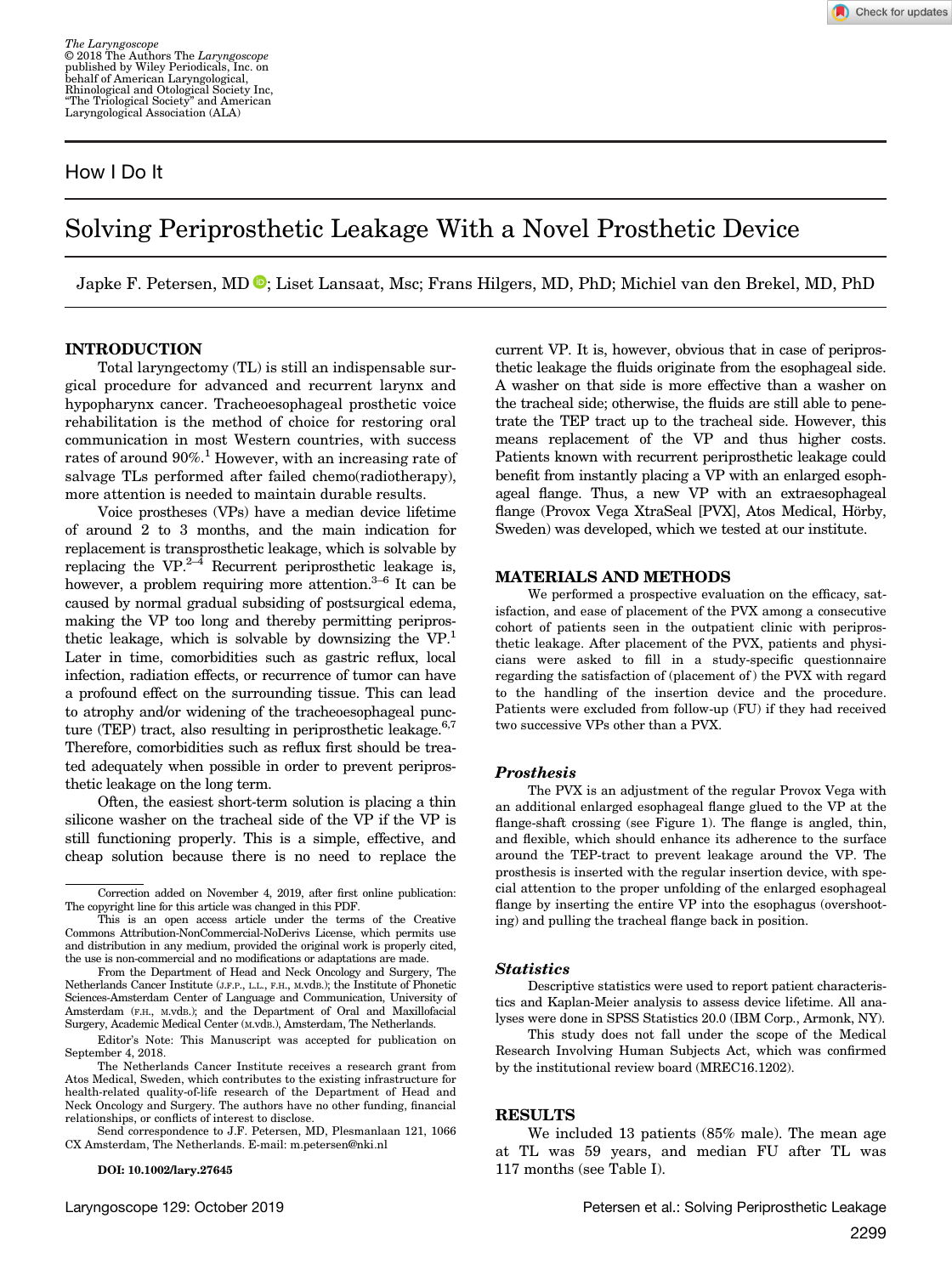## How I Do It

Check for updates

# Solving Periprosthetic Leakage With a Novel Prosthetic Device

Japke F. Petersen, MD <sup>®</sup>[;](https://orcid.org/0000-0002-1766-1732) Liset Lansaat, Msc; Frans Hilgers, MD, PhD; Michiel van den Brekel, MD, PhD

#### INTRODUCTION

Total laryngectomy (TL) is still an indispensable surgical procedure for advanced and recurrent larynx and hypopharynx cancer. Tracheoesophageal prosthetic voice rehabilitation is the method of choice for restoring oral communication in most Western countries, with success rates of around 90%.<sup>1</sup> However, with an increasing rate of salvage TLs performed after failed chemo(radiotherapy), more attention is needed to maintain durable results.

Voice prostheses (VPs) have a median device lifetime of around 2 to 3 months, and the main indication for replacement is transprosthetic leakage, which is solvable by replacing the  $VP^{2-\bar{4}}$  Recurrent periprosthetic leakage is, however, a problem requiring more attention.<sup>3–6</sup> It can be caused by normal gradual subsiding of postsurgical edema, making the VP too long and thereby permitting periprosthetic leakage, which is solvable by downsizing the VP.1 Later in time, comorbidities such as gastric reflux, local infection, radiation effects, or recurrence of tumor can have a profound effect on the surrounding tissue. This can lead to atrophy and/or widening of the tracheoesophageal puncture (TEP) tract, also resulting in periprosthetic leakage. $6,7$ Therefore, comorbidities such as reflux first should be treated adequately when possible in order to prevent periprosthetic leakage on the long term.

Often, the easiest short-term solution is placing a thin silicone washer on the tracheal side of the VP if the VP is still functioning properly. This is a simple, effective, and cheap solution because there is no need to replace the

DOI: 10.1002/lary.27645

current VP. It is, however, obvious that in case of periprosthetic leakage the fluids originate from the esophageal side. A washer on that side is more effective than a washer on the tracheal side; otherwise, the fluids are still able to penetrate the TEP tract up to the tracheal side. However, this means replacement of the VP and thus higher costs. Patients known with recurrent periprosthetic leakage could benefit from instantly placing a VP with an enlarged esophageal flange. Thus, a new VP with an extraesophageal flange (Provox Vega XtraSeal [PVX], Atos Medical, Hörby, Sweden) was developed, which we tested at our institute.

#### MATERIALS AND METHODS

We performed a prospective evaluation on the efficacy, satisfaction, and ease of placement of the PVX among a consecutive cohort of patients seen in the outpatient clinic with periprosthetic leakage. After placement of the PVX, patients and physicians were asked to fill in a study-specific questionnaire regarding the satisfaction of (placement of ) the PVX with regard to the handling of the insertion device and the procedure. Patients were excluded from follow-up (FU) if they had received two successive VPs other than a PVX.

#### Prosthesis

The PVX is an adjustment of the regular Provox Vega with an additional enlarged esophageal flange glued to the VP at the flange-shaft crossing (see Figure 1). The flange is angled, thin, and flexible, which should enhance its adherence to the surface around the TEP-tract to prevent leakage around the VP. The prosthesis is inserted with the regular insertion device, with special attention to the proper unfolding of the enlarged esophageal flange by inserting the entire VP into the esophagus (overshooting) and pulling the tracheal flange back in position.

#### **Statistics**

Descriptive statistics were used to report patient characteristics and Kaplan-Meier analysis to assess device lifetime. All analyses were done in SPSS Statistics 20.0 (IBM Corp., Armonk, NY).

This study does not fall under the scope of the Medical Research Involving Human Subjects Act, which was confirmed by the institutional review board (MREC16.1202).

#### RESULTS

We included 13 patients (85% male). The mean age at TL was 59 years, and median FU after TL was 117 months (see Table I).

Correction added on November 4, 2019, after first online publication: The copyright line for this article was changed in this PDF.

This is an open access article under the terms of the [Creative](http://creativecommons.org/licenses/by-nc-nd/4.0/) [Commons Attribution-NonCommercial-NoDerivs](http://creativecommons.org/licenses/by-nc-nd/4.0/) License, which permits use and distribution in any medium, provided the original work is properly cited, the use is non-commercial and no modifications or adaptations are made.

From the Department of Head and Neck Oncology and Surgery, The Netherlands Cancer Institute (J.F.P., L.L., F.H., M.vdB.); the Institute of Phonetic Sciences-Amsterdam Center of Language and Communication, University of Amsterdam (F.H., M.vdB.); and the Department of Oral and Maxillofacial Surgery, Academic Medical Center (M.vdB.), Amsterdam, The Netherlands.

Editor's Note: This Manuscript was accepted for publication on September 4, 2018.

The Netherlands Cancer Institute receives a research grant from Atos Medical, Sweden, which contributes to the existing infrastructure for health-related quality-of-life research of the Department of Head and Neck Oncology and Surgery. The authors have no other funding, financial relationships, or conflicts of interest to disclose.

Send correspondence to J.F. Petersen, MD, Plesmanlaan 121, 1066 CX Amsterdam, The Netherlands. E-mail: [m.petersen@nki.nl](mailto:m.petersen@nki.nl)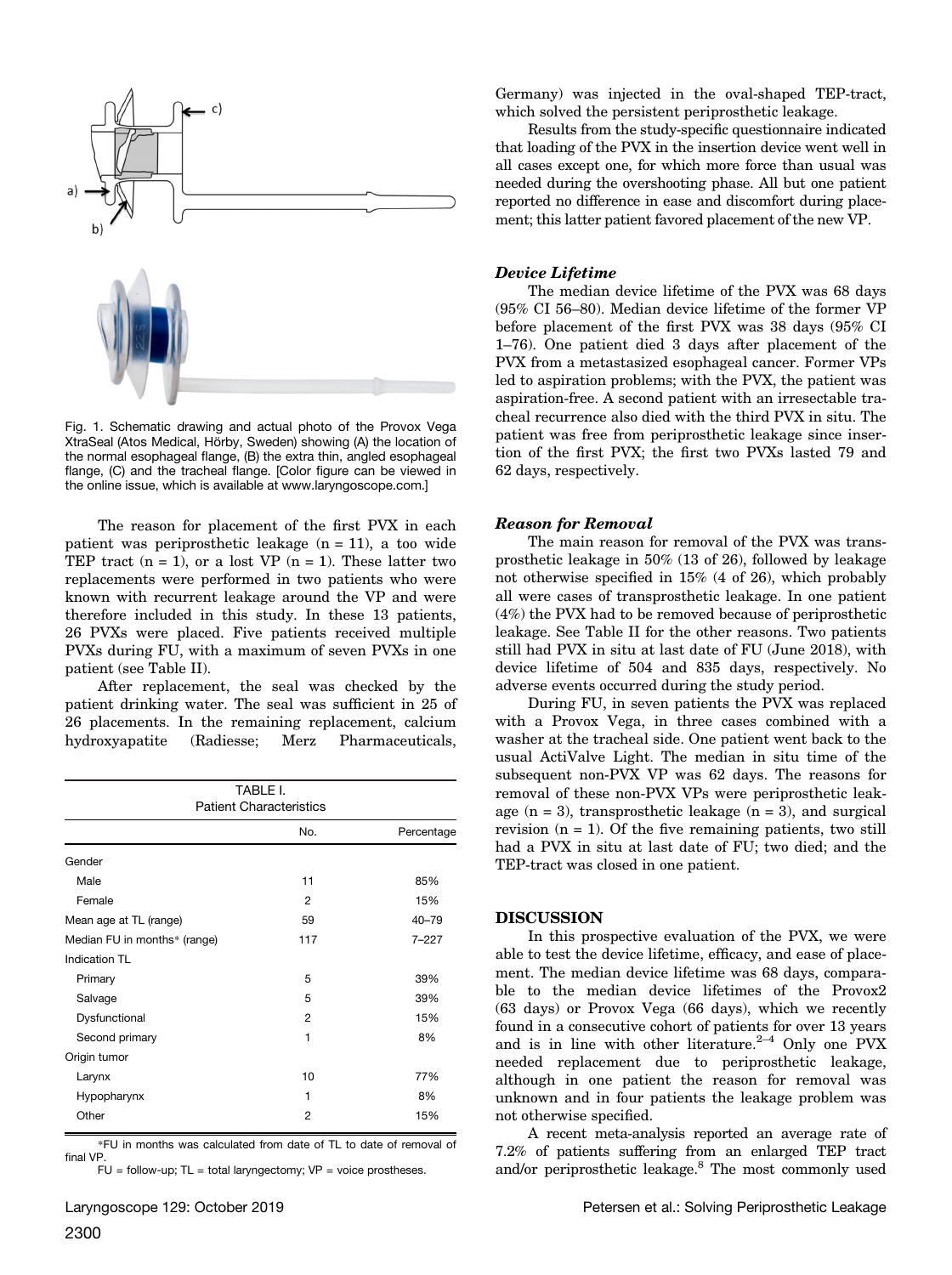

Fig. 1. Schematic drawing and actual photo of the Provox Vega XtraSeal (Atos Medical, Hörby, Sweden) showing (A) the location of the normal esophageal flange, (B) the extra thin, angled esophageal flange, (C) and the tracheal flange. [Color figure can be viewed in the online issue, which is available at [www.laryngoscope.com.](www.laryngoscope.com)]

The reason for placement of the first PVX in each patient was periprosthetic leakage  $(n = 11)$ , a too wide TEP tract  $(n = 1)$ , or a lost VP  $(n = 1)$ . These latter two replacements were performed in two patients who were known with recurrent leakage around the VP and were therefore included in this study. In these 13 patients, 26 PVXs were placed. Five patients received multiple PVXs during FU, with a maximum of seven PVXs in one patient (see Table II).

After replacement, the seal was checked by the patient drinking water. The seal was sufficient in 25 of 26 placements. In the remaining replacement, calcium hydroxyapatite (Radiesse; Merz Pharmaceuticals,

| TABLE I.<br><b>Patient Characteristics</b> |                |           |  |  |  |  |  |  |
|--------------------------------------------|----------------|-----------|--|--|--|--|--|--|
|                                            |                |           |  |  |  |  |  |  |
| Gender                                     |                |           |  |  |  |  |  |  |
| Male                                       | 11             | 85%       |  |  |  |  |  |  |
| Female                                     | 2              | 15%       |  |  |  |  |  |  |
| Mean age at TL (range)                     | 59             | $40 - 79$ |  |  |  |  |  |  |
| Median FU in months* (range)               | 117            | $7 - 227$ |  |  |  |  |  |  |
| Indication TL                              |                |           |  |  |  |  |  |  |
| Primary                                    | 5              | 39%       |  |  |  |  |  |  |
| Salvage                                    | 5              | 39%       |  |  |  |  |  |  |
| Dysfunctional                              | 2              | 15%       |  |  |  |  |  |  |
| Second primary                             | 1              | 8%        |  |  |  |  |  |  |
| Origin tumor                               |                |           |  |  |  |  |  |  |
| Larynx                                     | 10             | 77%       |  |  |  |  |  |  |
| Hypopharynx                                | 1              | 8%        |  |  |  |  |  |  |
| Other                                      | $\overline{2}$ | 15%       |  |  |  |  |  |  |

\*FU in months was calculated from date of TL to date of removal of final VP.

 $FU =$  follow-up;  $TL =$  total laryngectomy;  $VP =$  voice prostheses.

Germany) was injected in the oval-shaped TEP-tract, which solved the persistent periprosthetic leakage.

Results from the study-specific questionnaire indicated that loading of the PVX in the insertion device went well in all cases except one, for which more force than usual was needed during the overshooting phase. All but one patient reported no difference in ease and discomfort during placement; this latter patient favored placement of the new VP.

#### Device Lifetime

The median device lifetime of the PVX was 68 days (95% CI 56–80). Median device lifetime of the former VP before placement of the first PVX was 38 days (95% CI 1–76). One patient died 3 days after placement of the PVX from a metastasized esophageal cancer. Former VPs led to aspiration problems; with the PVX, the patient was aspiration-free. A second patient with an irresectable tracheal recurrence also died with the third PVX in situ. The patient was free from periprosthetic leakage since insertion of the first PVX; the first two PVXs lasted 79 and 62 days, respectively.

#### Reason for Removal

The main reason for removal of the PVX was transprosthetic leakage in 50% (13 of 26), followed by leakage not otherwise specified in 15% (4 of 26), which probably all were cases of transprosthetic leakage. In one patient (4%) the PVX had to be removed because of periprosthetic leakage. See Table II for the other reasons. Two patients still had PVX in situ at last date of FU (June 2018), with device lifetime of 504 and 835 days, respectively. No adverse events occurred during the study period.

During FU, in seven patients the PVX was replaced with a Provox Vega, in three cases combined with a washer at the tracheal side. One patient went back to the usual ActiValve Light. The median in situ time of the subsequent non-PVX VP was 62 days. The reasons for removal of these non-PVX VPs were periprosthetic leakage  $(n = 3)$ , transprosthetic leakage  $(n = 3)$ , and surgical revision  $(n = 1)$ . Of the five remaining patients, two still had a PVX in situ at last date of FU; two died; and the TEP-tract was closed in one patient.

#### DISCUSSION

In this prospective evaluation of the PVX, we were able to test the device lifetime, efficacy, and ease of placement. The median device lifetime was 68 days, comparable to the median device lifetimes of the Provox2 (63 days) or Provox Vega (66 days), which we recently found in a consecutive cohort of patients for over 13 years and is in line with other literature. $2-4$  Only one PVX needed replacement due to periprosthetic leakage, although in one patient the reason for removal was unknown and in four patients the leakage problem was not otherwise specified.

A recent meta-analysis reported an average rate of 7.2% of patients suffering from an enlarged TEP tract and/or periprosthetic leakage.8 The most commonly used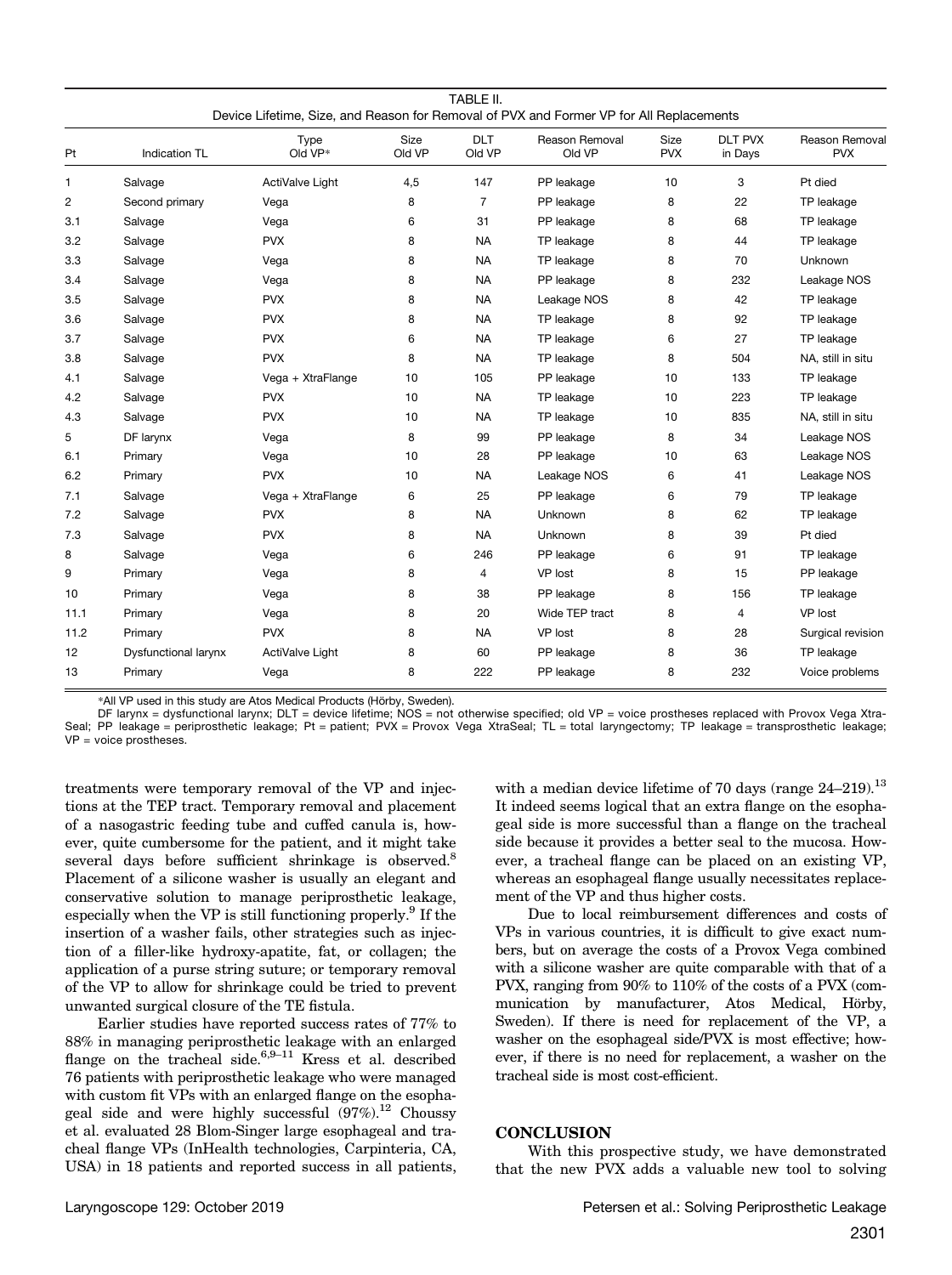|                |                             | Type                   | Size   | <b>DLT</b>     | Reason Removal | Size       | <b>DLT PVX</b> | Reason Removal    |
|----------------|-----------------------------|------------------------|--------|----------------|----------------|------------|----------------|-------------------|
| Pt             | <b>Indication TL</b>        | Old VP*                | Old VP | Old VP         | Old VP         | <b>PVX</b> | in Days        | <b>PVX</b>        |
| 1              | Salvage                     | <b>ActiValve Light</b> | 4,5    | 147            | PP leakage     | 10         | 3              | Pt died           |
| $\overline{c}$ | Second primary              | Vega                   | 8      | $\overline{7}$ | PP leakage     | 8          | 22             | TP leakage        |
| 3.1            | Salvage                     | Vega                   | 6      | 31             | PP leakage     | 8          | 68             | TP leakage        |
| 3.2            | Salvage                     | <b>PVX</b>             | 8      | <b>NA</b>      | TP leakage     | 8          | 44             | TP leakage        |
| 3.3            | Salvage                     | Vega                   | 8      | <b>NA</b>      | TP leakage     | 8          | 70             | Unknown           |
| 3.4            | Salvage                     | Vega                   | 8      | <b>NA</b>      | PP leakage     | 8          | 232            | Leakage NOS       |
| 3.5            | Salvage                     | <b>PVX</b>             | 8      | <b>NA</b>      | Leakage NOS    | 8          | 42             | TP leakage        |
| 3.6            | Salvage                     | <b>PVX</b>             | 8      | <b>NA</b>      | TP leakage     | 8          | 92             | TP leakage        |
| 3.7            | Salvage                     | <b>PVX</b>             | 6      | <b>NA</b>      | TP leakage     | 6          | 27             | TP leakage        |
| 3.8            | Salvage                     | <b>PVX</b>             | 8      | <b>NA</b>      | TP leakage     | 8          | 504            | NA, still in situ |
| 4.1            | Salvage                     | Vega + XtraFlange      | 10     | 105            | PP leakage     | 10         | 133            | TP leakage        |
| 4.2            | Salvage                     | <b>PVX</b>             | 10     | <b>NA</b>      | TP leakage     | 10         | 223            | TP leakage        |
| 4.3            | Salvage                     | <b>PVX</b>             | 10     | <b>NA</b>      | TP leakage     | 10         | 835            | NA, still in situ |
| 5              | DF larynx                   | Vega                   | 8      | 99             | PP leakage     | 8          | 34             | Leakage NOS       |
| 6.1            | Primary                     | Vega                   | 10     | 28             | PP leakage     | 10         | 63             | Leakage NOS       |
| 6.2            | Primary                     | <b>PVX</b>             | 10     | <b>NA</b>      | Leakage NOS    | 6          | 41             | Leakage NOS       |
| 7.1            | Salvage                     | Vega + XtraFlange      | 6      | 25             | PP leakage     | 6          | 79             | TP leakage        |
| 7.2            | Salvage                     | <b>PVX</b>             | 8      | <b>NA</b>      | Unknown        | 8          | 62             | TP leakage        |
| 7.3            | Salvage                     | <b>PVX</b>             | 8      | <b>NA</b>      | Unknown        | 8          | 39             | Pt died           |
| 8              | Salvage                     | Vega                   | 6      | 246            | PP leakage     | 6          | 91             | TP leakage        |
| 9              | Primary                     | Vega                   | 8      | 4              | VP lost        | 8          | 15             | PP leakage        |
| 10             | Primary                     | Vega                   | 8      | 38             | PP leakage     | 8          | 156            | TP leakage        |
| 11.1           | Primary                     | Vega                   | 8      | 20             | Wide TEP tract | 8          | 4              | VP lost           |
| 11.2           | Primary                     | <b>PVX</b>             | 8      | <b>NA</b>      | VP lost        | 8          | 28             | Surgical revision |
| 12             | <b>Dysfunctional larynx</b> | <b>ActiValve Light</b> | 8      | 60             | PP leakage     | 8          | 36             | TP leakage        |
| 13             | Primary                     | Vega                   | 8      | 222            | PP leakage     | 8          | 232            | Voice problems    |
|                |                             |                        |        |                |                |            |                |                   |

\*All VP used in this study are Atos Medical Products (Hörby, Sweden).

DF larynx = dysfunctional larynx; DLT = device lifetime; NOS = not otherwise specified; old VP = voice prostheses replaced with Provox Vega Xtra-Seal; PP leakage = periprosthetic leakage; Pt = patient; PVX = Provox Vega XtraSeal; TL = total laryngectomy; TP leakage = transprosthetic leakage; VP = voice prostheses.

treatments were temporary removal of the VP and injections at the TEP tract. Temporary removal and placement of a nasogastric feeding tube and cuffed canula is, however, quite cumbersome for the patient, and it might take several days before sufficient shrinkage is observed.<sup>8</sup> Placement of a silicone washer is usually an elegant and conservative solution to manage periprosthetic leakage, especially when the VP is still functioning properly.<sup>9</sup> If the insertion of a washer fails, other strategies such as injection of a filler-like hydroxy-apatite, fat, or collagen; the application of a purse string suture; or temporary removal of the VP to allow for shrinkage could be tried to prevent unwanted surgical closure of the TE fistula.

Earlier studies have reported success rates of 77% to 88% in managing periprosthetic leakage with an enlarged flange on the tracheal side. $6.9-11$  Kress et al. described 76 patients with periprosthetic leakage who were managed with custom fit VPs with an enlarged flange on the esophageal side and were highly successful  $(97\%)$ .<sup>12</sup> Choussy et al. evaluated 28 Blom-Singer large esophageal and tracheal flange VPs (InHealth technologies, Carpinteria, CA, USA) in 18 patients and reported success in all patients, with a median device lifetime of 70 days (range  $24-219$ ).<sup>13</sup> It indeed seems logical that an extra flange on the esophageal side is more successful than a flange on the tracheal side because it provides a better seal to the mucosa. However, a tracheal flange can be placed on an existing VP, whereas an esophageal flange usually necessitates replacement of the VP and thus higher costs.

Due to local reimbursement differences and costs of VPs in various countries, it is difficult to give exact numbers, but on average the costs of a Provox Vega combined with a silicone washer are quite comparable with that of a PVX, ranging from 90% to 110% of the costs of a PVX (communication by manufacturer, Atos Medical, Hörby, Sweden). If there is need for replacement of the VP, a washer on the esophageal side/PVX is most effective; however, if there is no need for replacement, a washer on the tracheal side is most cost-efficient.

#### **CONCLUSION**

With this prospective study, we have demonstrated that the new PVX adds a valuable new tool to solving